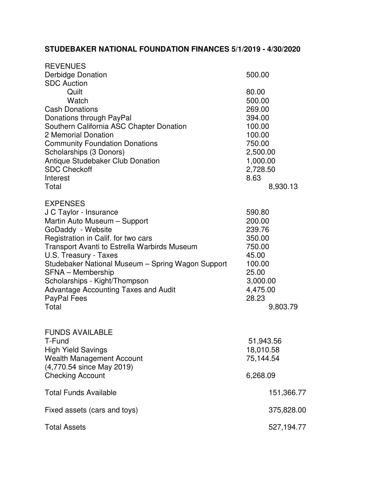## **STUDEBAKER NATIONAL FOUNDATION FINANCES 5/1/2019 - 4/30/2020**

| <b>REVENUES</b>                                                                                                                                                                                                                                                                                                                                                                                         |                                                                                                                           |  |
|---------------------------------------------------------------------------------------------------------------------------------------------------------------------------------------------------------------------------------------------------------------------------------------------------------------------------------------------------------------------------------------------------------|---------------------------------------------------------------------------------------------------------------------------|--|
| <b>Derbidge Donation</b><br><b>SDC Auction</b>                                                                                                                                                                                                                                                                                                                                                          | 500.00                                                                                                                    |  |
| Quilt<br>Watch<br><b>Cash Donations</b><br>Donations through PayPal<br>Southern California ASC Chapter Donation<br>2 Memorial Donation<br><b>Community Foundation Donations</b><br>Scholarships (3 Donors)<br><b>Antique Studebaker Club Donation</b><br><b>SDC Checkoff</b><br>Interest<br>Total                                                                                                       | 80.00<br>500.00<br>269.00<br>394.00<br>100.00<br>100.00<br>750.00<br>2,500.00<br>1,000.00<br>2,728.50<br>8.63<br>8,930.13 |  |
| <b>EXPENSES</b><br>J C Taylor - Insurance<br>Martin Auto Museum - Support<br>GoDaddy - Website<br>Registration in Calif. for two cars<br>Transport Avanti to Estrella Warbirds Museum<br>U.S. Treasury - Taxes<br>Studebaker National Museum - Spring Wagon Support<br><b>SFNA - Membership</b><br>Scholarships - Kight/Thompson<br><b>Advantage Accounting Taxes and Audit</b><br>PayPal Fees<br>Total | 590.80<br>200.00<br>239.76<br>350.00<br>750.00<br>45.00<br>100.00<br>25.00<br>3,000.00<br>4,475.00<br>28.23<br>9,803.79   |  |
| <b>FUNDS AVAILABLE</b><br>T-Fund<br><b>High Yield Savings</b><br>Wealth Management Account<br>(4,770.54 since May 2019)<br><b>Checking Account</b>                                                                                                                                                                                                                                                      | 51,943.56<br>18,010.58<br>75,144.54<br>6,268.09                                                                           |  |
| <b>Total Funds Available</b>                                                                                                                                                                                                                                                                                                                                                                            | 151,366.77                                                                                                                |  |
| Fixed assets (cars and toys)                                                                                                                                                                                                                                                                                                                                                                            | 375,828.00                                                                                                                |  |
| <b>Total Assets</b>                                                                                                                                                                                                                                                                                                                                                                                     | 527,194.77                                                                                                                |  |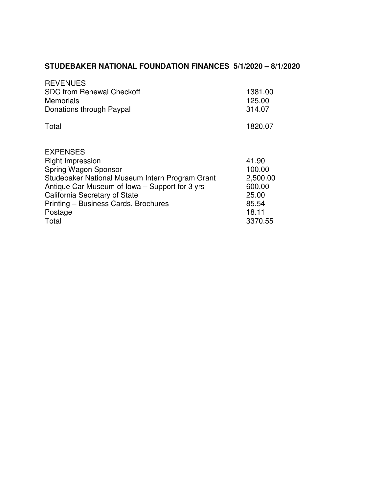## **STUDEBAKER NATIONAL FOUNDATION FINANCES 5/1/2020 – 8/1/2020**

| <b>REVENUES</b><br><b>SDC from Renewal Checkoff</b><br><b>Memorials</b><br>Donations through Paypal                                                                                                                                                                  | 1381.00<br>125.00<br>314.07                                                 |
|----------------------------------------------------------------------------------------------------------------------------------------------------------------------------------------------------------------------------------------------------------------------|-----------------------------------------------------------------------------|
| Total                                                                                                                                                                                                                                                                | 1820.07                                                                     |
| <b>EXPENSES</b><br><b>Right Impression</b><br>Spring Wagon Sponsor<br>Studebaker National Museum Intern Program Grant<br>Antique Car Museum of Iowa – Support for 3 yrs<br>California Secretary of State<br>Printing - Business Cards, Brochures<br>Postage<br>Total | 41.90<br>100.00<br>2,500.00<br>600.00<br>25.00<br>85.54<br>18.11<br>3370.55 |